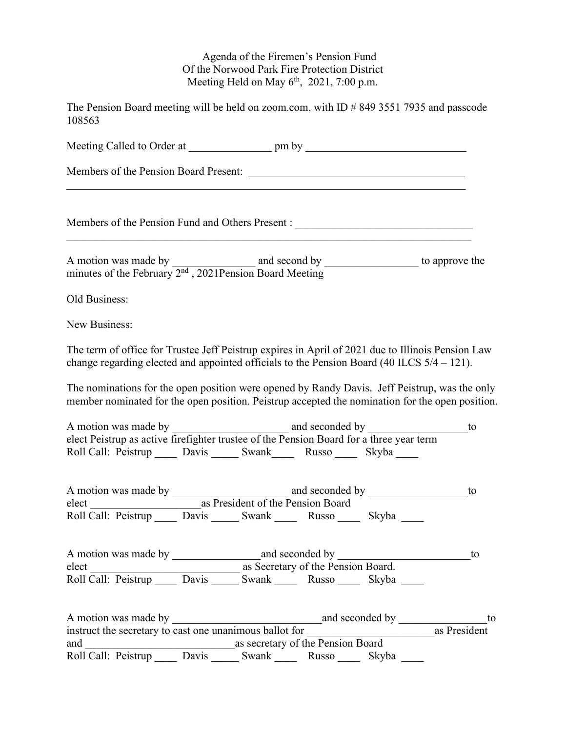## Agenda of the Firemen's Pension Fund Of the Norwood Park Fire Protection District Meeting Held on May  $6<sup>th</sup>$ , 2021, 7:00 p.m.

The Pension Board meeting will be held on zoom.com, with ID # 849 3551 7935 and passcode 108563

|               | Members of the Pension Fund and Others Present :                                                                                                                                                   |    |
|---------------|----------------------------------------------------------------------------------------------------------------------------------------------------------------------------------------------------|----|
|               | A motion was made by $\frac{1}{2^{nd}$ , 2021 Pension Board Meeting to approve the minutes of the February $2^{nd}$ , 2021 Pension Board Meeting                                                   |    |
| Old Business: |                                                                                                                                                                                                    |    |
| New Business: |                                                                                                                                                                                                    |    |
|               | The term of office for Trustee Jeff Peistrup expires in April of 2021 due to Illinois Pension Law<br>change regarding elected and appointed officials to the Pension Board (40 ILCS $5/4 - 121$ ). |    |
|               | The nominations for the open position were opened by Randy Davis. Jeff Peistrup, was the only<br>member nominated for the open position. Peistrup accepted the nomination for the open position.   |    |
|               |                                                                                                                                                                                                    | to |
|               | elect Peistrup as active firefighter trustee of the Pension Board for a three year term<br>Roll Call: Peistrup _____ Davis ______ Swank _____ Russo _____ Skyba _____                              |    |
|               |                                                                                                                                                                                                    |    |
|               | elect as President of the Pension Board<br>Roll Call: Peistrup Davis Swank Russo Skyba                                                                                                             |    |
|               |                                                                                                                                                                                                    | to |
|               | elect<br>Roll Call: Peistrup ______ Davis ______ Swank _______ Russo ______ Skyba ______                                                                                                           |    |
|               |                                                                                                                                                                                                    |    |
|               |                                                                                                                                                                                                    |    |
|               |                                                                                                                                                                                                    |    |